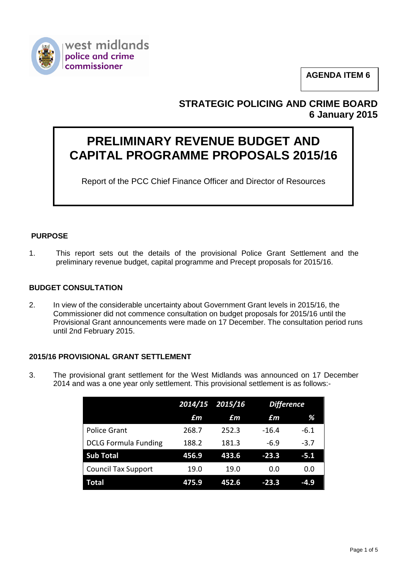

**AGENDA ITEM 6**

# **STRATEGIC POLICING AND CRIME BOARD 6 January 2015**

# **PRELIMINARY REVENUE BUDGET AND CAPITAL PROGRAMME PROPOSALS 2015/16**

Report of the PCC Chief Finance Officer and Director of Resources

## **PURPOSE**

1. This report sets out the details of the provisional Police Grant Settlement and the preliminary revenue budget, capital programme and Precept proposals for 2015/16.

#### **BUDGET CONSULTATION**

2. In view of the considerable uncertainty about Government Grant levels in 2015/16, the Commissioner did not commence consultation on budget proposals for 2015/16 until the Provisional Grant announcements were made on 17 December. The consultation period runs until 2nd February 2015.

### **2015/16 PROVISIONAL GRANT SETTLEMENT**

3. The provisional grant settlement for the West Midlands was announced on 17 December 2014 and was a one year only settlement. This provisional settlement is as follows:-

|                             |       | 2014/15 2015/16 | <b>Difference</b> |        |
|-----------------------------|-------|-----------------|-------------------|--------|
|                             | £m    | £m              | £m                | %      |
| <b>Police Grant</b>         | 268.7 | 252.3           | $-16.4$           | $-6.1$ |
| <b>DCLG Formula Funding</b> | 188.2 | 181.3           | $-6.9$            | $-3.7$ |
| <b>Sub Total</b>            | 456.9 | 433.6           | $-23.3$           | $-5.1$ |
| <b>Council Tax Support</b>  | 19.0  | 19.0            | 0.0               | 0.0    |
| Total                       | 475.9 | 452.6           | $-23.3$           | $-4.9$ |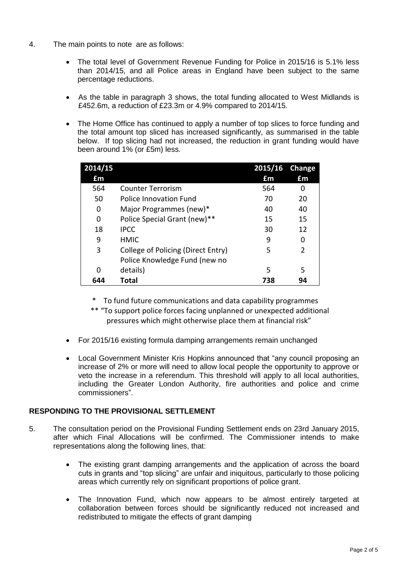- 4. The main points to note are as follows:
	- The total level of Government Revenue Funding for Police in 2015/16 is 5.1% less than 2014/15, and all Police areas in England have been subject to the same percentage reductions.
	- As the table in paragraph 3 shows, the total funding allocated to West Midlands is £452.6m, a reduction of £23.3m or 4.9% compared to 2014/15.
	- The Home Office has continued to apply a number of top slices to force funding and the total amount top sliced has increased significantly, as summarised in the table below. If top slicing had not increased, the reduction in grant funding would have been around 1% (or £5m) less.

| 2014/15 |                                    | 2015/16 Change |    |
|---------|------------------------------------|----------------|----|
| £m      |                                    | £m             | £m |
| 564     | <b>Counter Terrorism</b>           | 564            | 0  |
| 50      | Police Innovation Fund             | 70             | 20 |
| 0       | Major Programmes (new)*            | 40             | 40 |
| 0       | Police Special Grant (new)**       | 15             | 15 |
| 18      | <b>IPCC</b>                        | 30             | 12 |
| 9       | <b>HMIC</b>                        | q              | O  |
| 3       | College of Policing (Direct Entry) | 5              | 2  |
|         | Police Knowledge Fund (new no      |                |    |
| 0       | details)                           | 5              | 5  |
| 644     | Total                              | 738            | 94 |

- \* To fund future communications and data capability programmes
- \*\* "To support police forces facing unplanned or unexpected additional pressures which might otherwise place them at financial risk"
- For 2015/16 existing formula damping arrangements remain unchanged
- Local Government Minister Kris Hopkins announced that "any council proposing an increase of 2% or more will need to allow local people the opportunity to approve or veto the increase in a referendum. This threshold will apply to all local authorities, including the Greater London Authority, fire authorities and police and crime commissioners".

### **RESPONDING TO THE PROVISIONAL SETTLEMENT**

- 5. The consultation period on the Provisional Funding Settlement ends on 23rd January 2015, after which Final Allocations will be confirmed. The Commissioner intends to make representations along the following lines, that:
	- The existing grant damping arrangements and the application of across the board cuts in grants and "top slicing" are unfair and iniquitous, particularly to those policing areas which currently rely on significant proportions of police grant.
	- The Innovation Fund, which now appears to be almost entirely targeted at collaboration between forces should be significantly reduced not increased and redistributed to mitigate the effects of grant damping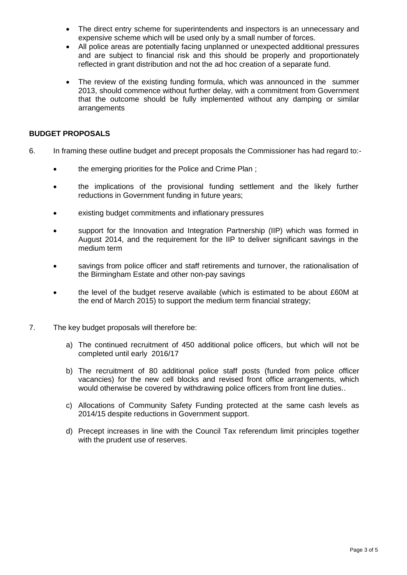- The direct entry scheme for superintendents and inspectors is an unnecessary and expensive scheme which will be used only by a small number of forces.
- All police areas are potentially facing unplanned or unexpected additional pressures and are subject to financial risk and this should be properly and proportionately reflected in grant distribution and not the ad hoc creation of a separate fund.
- The review of the existing funding formula, which was announced in the summer 2013, should commence without further delay, with a commitment from Government that the outcome should be fully implemented without any damping or similar arrangements

#### **BUDGET PROPOSALS**

- 6. In framing these outline budget and precept proposals the Commissioner has had regard to:-
	- the emerging priorities for the Police and Crime Plan;
	- the implications of the provisional funding settlement and the likely further reductions in Government funding in future years;
	- existing budget commitments and inflationary pressures
	- support for the Innovation and Integration Partnership (IIP) which was formed in August 2014, and the requirement for the IIP to deliver significant savings in the medium term
	- savings from police officer and staff retirements and turnover, the rationalisation of the Birmingham Estate and other non-pay savings
	- the level of the budget reserve available (which is estimated to be about £60M at the end of March 2015) to support the medium term financial strategy;
- 7. The key budget proposals will therefore be:
	- a) The continued recruitment of 450 additional police officers, but which will not be completed until early 2016/17
	- b) The recruitment of 80 additional police staff posts (funded from police officer vacancies) for the new cell blocks and revised front office arrangements, which would otherwise be covered by withdrawing police officers from front line duties..
	- c) Allocations of Community Safety Funding protected at the same cash levels as 2014/15 despite reductions in Government support.
	- d) Precept increases in line with the Council Tax referendum limit principles together with the prudent use of reserves.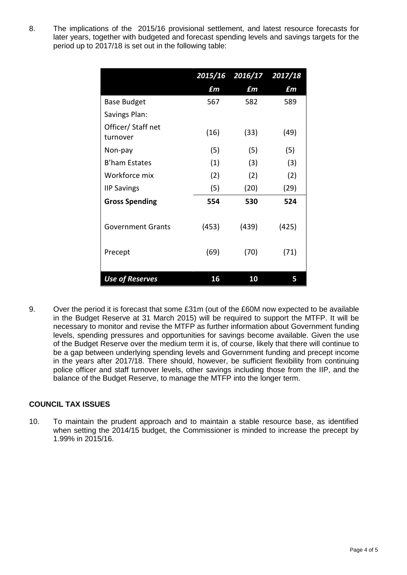8. The implications of the 2015/16 provisional settlement, and latest resource forecasts for later years, together with budgeted and forecast spending levels and savings targets for the period up to 2017/18 is set out in the following table:

|                               |       | 2015/16 2016/17 2017/18 |       |
|-------------------------------|-------|-------------------------|-------|
|                               | £m    | £m                      | £m    |
| <b>Base Budget</b>            | 567   | 582                     | 589   |
| Savings Plan:                 |       |                         |       |
| Officer/Staff net<br>turnover | (16)  | (33)                    | (49)  |
| Non-pay                       | (5)   | (5)                     | (5)   |
| <b>B'ham Estates</b>          | (1)   | (3)                     | (3)   |
| Workforce mix                 | (2)   | (2)                     | (2)   |
| <b>IIP Savings</b>            | (5)   | (20)                    | (29)  |
| <b>Gross Spending</b>         | 554   | 530                     | 524   |
| <b>Government Grants</b>      | (453) | (439)                   | (425) |
| Precept                       | (69)  | (70)                    | (71)  |
| <b>Use of Reserves</b>        | 16    | 10                      | 5     |

9. Over the period it is forecast that some £31m (out of the £60M now expected to be available in the Budget Reserve at 31 March 2015) will be required to support the MTFP. It will be necessary to monitor and revise the MTFP as further information about Government funding levels, spending pressures and opportunities for savings become available. Given the use of the Budget Reserve over the medium term it is, of course, likely that there will continue to be a gap between underlying spending levels and Government funding and precept income in the years after 2017/18. There should, however, be sufficient flexibility from continuing police officer and staff turnover levels, other savings including those from the IIP, and the balance of the Budget Reserve, to manage the MTFP into the longer term.

#### **COUNCIL TAX ISSUES**

10. To maintain the prudent approach and to maintain a stable resource base, as identified when setting the 2014/15 budget, the Commissioner is minded to increase the precept by 1.99% in 2015/16.